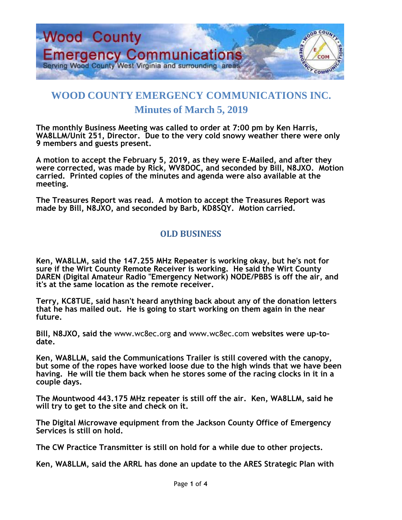

## **WOOD COUNTY EMERGENCY COMMUNICATIONS INC. Minutes of March 5, 2019**

**The monthly Business Meeting was called to order at 7:00 pm by Ken Harris, WA8LLM/Unit 251, Director. Due to the very cold snowy weather there were only 9 members and guests present.** 

**A motion to accept the February 5, 2019, as they were E-Mailed, and after they were corrected, was made by Rick, WV8DOC, and seconded by Bill, N8JXO. Motion carried. Printed copies of the minutes and agenda were also available at the meeting.**

**The Treasures Report was read. A motion to accept the Treasures Report was made by Bill, N8JXO, and seconded by Barb, KD8SQY. Motion carried.**

## **OLD BUSINESS**

**Ken, WA8LLM, said the 147.255 MHz Repeater is working okay, but he's not for sure if the Wirt County Remote Receiver is working. He said the Wirt County DAREN (Digital Amateur Radio "Emergency Network) NODE/PBBS is off the air, and it's at the same location as the remote receiver.**

**Terry, KC8TUE, said hasn't heard anything back about any of the donation letters that he has mailed out. He is going to start working on them again in the near future.**

**Bill, N8JXO, said the** [www.wc8ec.org](http://www.wc8ec.org/) **and** [www.wc8ec.com](http://www.wc8ec.com/) **websites were up-todate.**

**Ken, WA8LLM, said the Communications Trailer is still covered with the canopy, but some of the ropes have worked loose due to the high winds that we have been having. He will tie them back when he stores some of the racing clocks in it in a couple days.**

**The Mountwood 443.175 MHz repeater is still off the air. Ken, WA8LLM, said he will try to get to the site and check on it.**

**The Digital Microwave equipment from the Jackson County Office of Emergency Services is still on hold.**

**The CW Practice Transmitter is still on hold for a while due to other projects.**

**Ken, WA8LLM, said the ARRL has done an update to the ARES Strategic Plan with**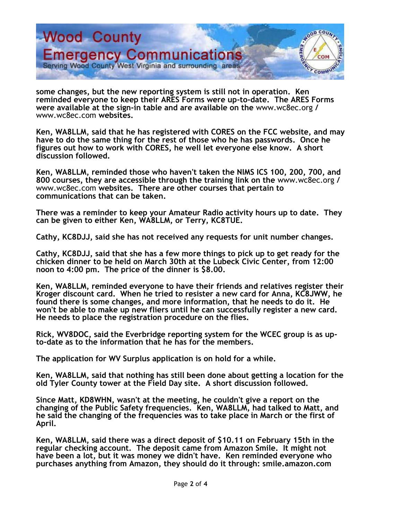

**some changes, but the new reporting system is still not in operation. Ken reminded everyone to keep their ARES Forms were up-to-date. The ARES Forms were available at the sign-in table and are available on the** [www.wc8ec.org](http://www.wc8ec.org/) **/**  [www.wc8ec.com](http://www.wc8ec.com/) **websites.**

**Ken, WA8LLM, said that he has registered with CORES on the FCC website, and may have to do the same thing for the rest of those who he has passwords. Once he figures out how to work with CORES, he well let everyone else know. A short discussion followed.**

**Ken, WA8LLM, reminded those who haven't taken the NIMS ICS 100, 200, 700, and 800 courses, they are accessible through the training link on the** [www.wc8ec.org](http://www.wc8ec.org/) **/**  [www.wc8ec.com](http://www.wc8ec.com/) **websites. There are other courses that pertain to communications that can be taken.**

**There was a reminder to keep your Amateur Radio activity hours up to date. They can be given to either Ken, WA8LLM, or Terry, KC8TUE.** 

**Cathy, KC8DJJ, said she has not received any requests for unit number changes.**

**Cathy, KC8DJJ, said that she has a few more things to pick up to get ready for the chicken dinner to be held on March 30th at the Lubeck Civic Center, from 12:00 noon to 4:00 pm. The price of the dinner is \$8.00.**

**Ken, WA8LLM, reminded everyone to have their friends and relatives register their Kroger discount card. When he tried to resister a new card for Anna, KC8JWW, he found there is some changes, and more information, that he needs to do it. He won't be able to make up new fliers until he can successfully register a new card. He needs to place the registration procedure on the flies.**

**Rick, WV8DOC, said the Everbridge reporting system for the WCEC group is as upto-date as to the information that he has for the members.**

**The application for WV Surplus application is on hold for a while.** 

**Ken, WA8LLM, said that nothing has still been done about getting a location for the old Tyler County tower at the Field Day site. A short discussion followed.**

**Since Matt, KD8WHN, wasn't at the meeting, he couldn't give a report on the changing of the Public Safety frequencies. Ken, WA8LLM, had talked to Matt, and he said the changing of the frequencies was to take place in March or the first of April.**

**Ken, WA8LLM, said there was a direct deposit of \$10.11 on February 15th in the regular checking account. The deposit came from Amazon Smile. It might not have been a lot, but it was money we didn't have. Ken reminded everyone who purchases anything from Amazon, they should do it through: smile.amazon.com**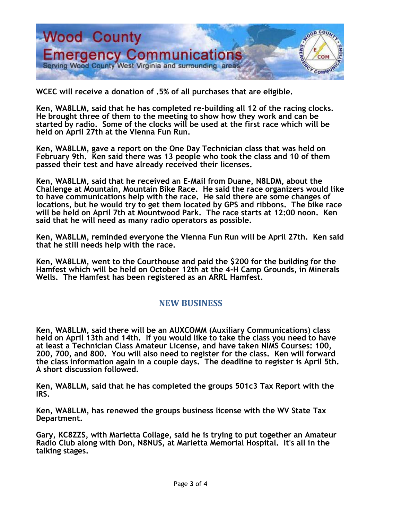

**WCEC will receive a donation of .5% of all purchases that are eligible.**

**Ken, WA8LLM, said that he has completed re-building all 12 of the racing clocks. He brought three of them to the meeting to show how they work and can be started by radio. Some of the clocks will be used at the first race which will be held on April 27th at the Vienna Fun Run.** 

**Ken, WA8LLM, gave a report on the One Day Technician class that was held on February 9th. Ken said there was 13 people who took the class and 10 of them passed their test and have already received their licenses.**

**Ken, WA8LLM, said that he received an E-Mail from Duane, N8LDM, about the Challenge at Mountain, Mountain Bike Race. He said the race organizers would like to have communications help with the race. He said there are some changes of locations, but he would try to get them located by GPS and ribbons. The bike race will be held on April 7th at Mountwood Park. The race starts at 12:00 noon. Ken said that he will need as many radio operators as possible.**

**Ken, WA8LLM, reminded everyone the Vienna Fun Run will be April 27th. Ken said that he still needs help with the race.**

**Ken, WA8LLM, went to the Courthouse and paid the \$200 for the building for the Hamfest which will be held on October 12th at the 4-H Camp Grounds, in Minerals Wells. The Hamfest has been registered as an ARRL Hamfest.**

## **NEW BUSINESS**

**Ken, WA8LLM, said there will be an AUXCOMM (Auxiliary Communications) class held on April 13th and 14th. If you would like to take the class you need to have at least a Technician Class Amateur License, and have taken NIMS Courses: 100, 200, 700, and 800. You will also need to register for the class. Ken will forward the class information again in a couple days. The deadline to register is April 5th. A short discussion followed.**

**Ken, WA8LLM, said that he has completed the groups 501c3 Tax Report with the IRS.**

**Ken, WA8LLM, has renewed the groups business license with the WV State Tax Department.**

**Gary, KC8ZZS, with Marietta Collage, said he is trying to put together an Amateur Radio Club along with Don, N8NUS, at Marietta Memorial Hospital. It's all in the talking stages.**